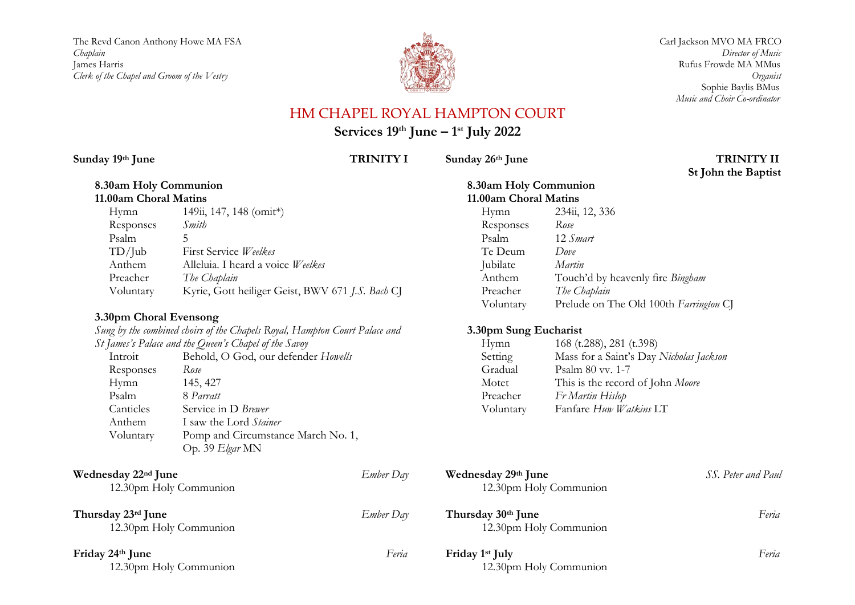The Revd Canon Anthony Howe MA FSA Carl Jackson MVO MA FRCO *Chaplain Director of Music* James Harris **No. 2006 12:00 12:00 12:00 12:00 12:00 12:00 12:00 12:00 12:00 12:00 12:00 12:00 12:00 12:00 12:00 12:00 12:00 12:00 12:00 12:00 12:00 12:00 12:00 12:00 12:00 12:00 12:00 12:00 12:00 12:00 12:00 12:00 12:00** *Clerk of the Chapel and Groom of the Vestry Organist*



 Sophie Baylis BMus *Music and Choir Co-ordinator*

# HM CHAPEL ROYAL HAMPTON COURT

**Services 19th June – 1 st July 2022**

Sunday  $19$ <sup>th</sup> June TRINITY I

## **8.30am Holy Communion 11.00am Choral Matins**

| Hymn      | 149ii, 147, 148 (omit*)                          |
|-----------|--------------------------------------------------|
| Responses | Smith                                            |
| Psalm     | 5                                                |
| TD/Jub    | First Service Weelkes                            |
| Anthem    | Alleluia. I heard a voice Weelkes                |
| Preacher  | The Chaplain                                     |
| Voluntary | Kyrie, Gott heiliger Geist, BWV 671 J.S. Bach CJ |

## **3.30pm Choral Evensong**

*Sung by the combined choirs of the Chapels Royal, Hampton Court Palace and St James's Palace and the Queen's Chapel of the Savoy* Introit Behold, O God, our defender *Howells*

| 111 U.V.I. | Denoia, O Oba, but actenaci <i>Howard</i> |
|------------|-------------------------------------------|
| Responses  | Rose                                      |
| Hymn       | 145, 427                                  |
| Psalm      | 8 Parratt                                 |
| Canticles  | Service in D Brewer                       |
| Anthem     | I saw the Lord Stainer                    |
| Voluntary  | Pomp and Circumstance March No. 1,        |
|            | Op. 39 Elgar MN                           |
|            |                                           |

### **Wednesday 22<sup>nd</sup> June** 12.30pm Holy Communion

| Thursday 23rd June |  |
|--------------------|--|

12.30pm Holy Communion

**Friday 24<sup>th</sup> June** 12.30pm Holy Communion

# **8.30am Holy Communion**

| 11.00am Choral Matins |                                         |  |
|-----------------------|-----------------------------------------|--|
| Hymn                  | 234ii, 12, 336                          |  |
| Responses             | Rose                                    |  |
| Psalm                 | 12 Smart                                |  |
| Te Deum               | Done                                    |  |
| Jubilate              | Martin                                  |  |
| Anthem                | Touch'd by heavenly fire <i>Bingham</i> |  |
| Preacher              | The Chaplain                            |  |
| Voluntary             | Prelude on The Old 100th Farrington CJ  |  |

## **3.30pm Sung Eucharist**

| Hymn      | 168 (t.288), 281 (t.398)                |
|-----------|-----------------------------------------|
| Setting   | Mass for a Saint's Day Nicholas Jackson |
| Gradual   | Psalm 80 vv. 1-7                        |
| Motet     | This is the record of John Moore        |
| Preacher  | Fr Martin Hislop                        |
| Voluntary | Fanfare Huw Watkins LT                  |

| Ember Day | Wednesday 29th June<br>12.30pm Holy Communion         | SS. Peter and Paul |
|-----------|-------------------------------------------------------|--------------------|
| Ember Day | Thursday 30th June<br>12.30pm Holy Communion          | Feria              |
| Feria     | Friday 1 <sup>st</sup> July<br>12.30pm Holy Communion | Feria              |

### Sunday 26<sup>th</sup> June TRINITY II  **St John the Baptist**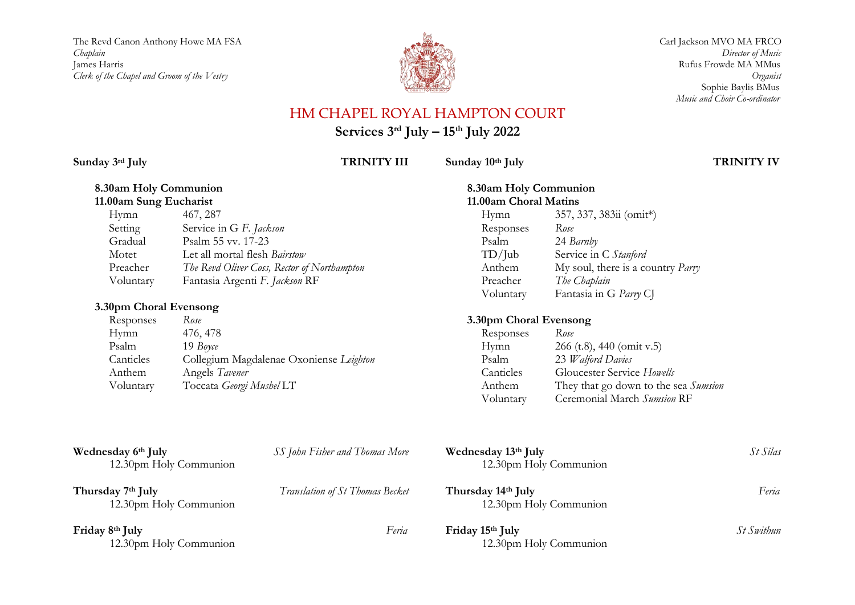The Revd Canon Anthony Howe MA FSA Carl Jackson MVO MA FRCO Carl Jackson MVO MA FRCO *Chaplain Director of Music* James Harris Rufus Frowde MA MMus<br>Clerk of the Chapel and Groom of the Vestry Channel Vestry Rufus Prowde MA MMus *Clerk of the Chapel and Groom of the Vestry* 



 Sophie Baylis BMus *Music and Choir Co-ordinator*

# HM CHAPEL ROYAL HAMPTON COURT

**Services 3 rd July – 15 th July 2022**

**Sunday 3rd July TRINITY III**

Sunday  $10$ <sup>th</sup> July TRINITY IV

### **8.30am Holy Communion 11.00am Sung Eucharist**

| Hymn      | 467, 287                                    |
|-----------|---------------------------------------------|
| Setting   | Service in G F. Jackson                     |
| Gradual   | Psalm 55 vv. 17-23                          |
| Motet     | Let all mortal flesh Bairstow               |
| Preacher  | The Revd Oliver Coss, Rector of Northampton |
| Voluntary | Fantasia Argenti F. Jackson RF              |

## **3.30pm Choral Evensong**

| Responses | Rose                                    |
|-----------|-----------------------------------------|
| Hymn      | 476, 478                                |
| Psalm     | 19 Boyce                                |
| Canticles | Collegium Magdalenae Oxoniense Leighton |
| Anthem    | Angels Tavener                          |
| Voluntary | Toccata Georgi Mushel LT                |

## **8.30am Holy Communion 11.00am Choral Matins** Hymn 357, 337, 383ii (omit\*) Responses *Rose* Psalm 24 *Barnby* Service in C Stanford Anthem My soul, there is a country *Parry* Preacher *The Chaplain*<br>Voluntary Fantasia in G Fantasia in G *Parry* CJ

## **3.30pm Choral Evensong**

| Responses | Rose                                 |
|-----------|--------------------------------------|
| Hymn      | $266$ (t.8), 440 (omit v.5)          |
| Psalm     | 23 Walford Davies                    |
| Canticles | Gloucester Service Howells           |
| Anthem    | They that go down to the sea Sumsion |
| Voluntary | Ceremonial March Sumsion RF          |

| Wednesday 6th July<br>12.30pm Holy Communion            | SS John Fisher and Thomas More  | Wednesday 13th July<br>12.30pm Holy Communion | St Silas   |
|---------------------------------------------------------|---------------------------------|-----------------------------------------------|------------|
| Thursday 7 <sup>th</sup> July<br>12.30pm Holy Communion | Translation of St Thomas Becket | Thursday 14th July<br>12.30pm Holy Communion  | Feria      |
| Friday 8th July<br>12.30pm Holy Communion               | Feria                           | Friday 15th July<br>12.30pm Holy Communion    | St Swithun |